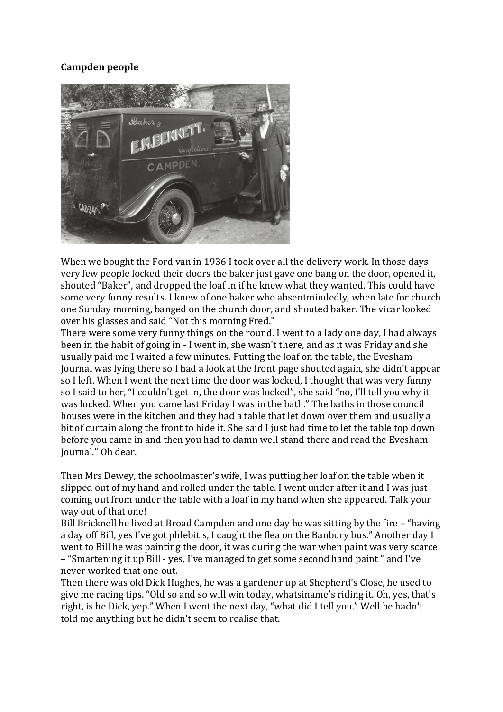## **Campden people**



When we bought the Ford van in 1936 I took over all the delivery work. In those days very few people locked their doors the baker just gave one bang on the door, opened it, shouted "Baker", and dropped the loaf in if he knew what they wanted. This could have some very funny results. I knew of one baker who absentmindedly, when late for church one Sunday morning, banged on the church door, and shouted baker. The vicar looked over his glasses and said "Not this morning Fred."

There were some very funny things on the round. I went to a lady one day, I had always been in the habit of going in - I went in, she wasn't there, and as it was Friday and she usually paid me I waited a few minutes. Putting the loaf on the table, the Evesham Journal was lying there so I had a look at the front page shouted again, she didn't appear so I left. When I went the next time the door was locked, I thought that was very funny so I said to her, "I couldn't get in, the door was locked", she said "no, I'll tell you why it was locked. When you came last Friday I was in the bath." The baths in those council houses were in the kitchen and they had a table that let down over them and usually a bit of curtain along the front to hide it. She said I just had time to let the table top down before you came in and then you had to damn well stand there and read the Evesham Journal." Oh dear.

Then Mrs Dewey, the schoolmaster's wife, I was putting her loaf on the table when it slipped out of my hand and rolled under the table. I went under after it and I was just coming out from under the table with a loaf in my hand when she appeared. Talk your way out of that one!

Bill Bricknell he lived at Broad Campden and one day he was sitting by the fire – "having a day off Bill, yes I've got phlebitis, I caught the flea on the Banbury bus." Another day I went to Bill he was painting the door, it was during the war when paint was very scarce – "Smartening it up Bill - yes, I've managed to get some second hand paint " and I've never worked that one out.

Then there was old Dick Hughes, he was a gardener up at Shepherd's Close, he used to give me racing tips. "Old so and so will win today, whatsiname's riding it. Oh, yes, that's right, is he Dick, yep." When I went the next day, "what did I tell you." Well he hadn't told me anything but he didn't seem to realise that.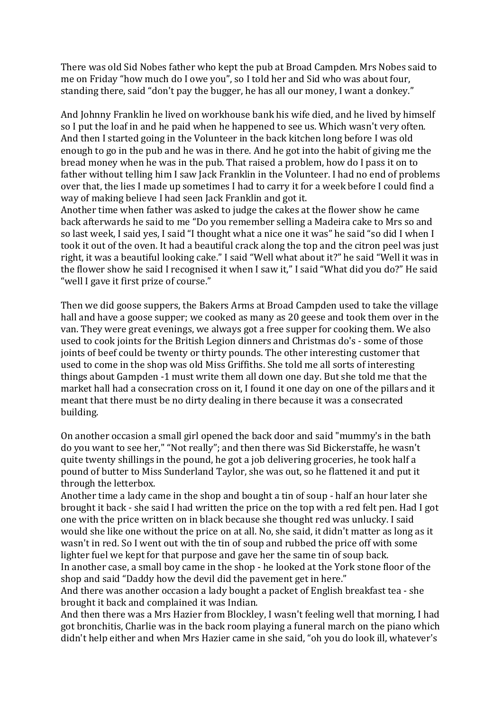There was old Sid Nobes father who kept the pub at Broad Campden. Mrs Nobes said to me on Friday "how much do I owe you", so I told her and Sid who was about four, standing there, said "don't pay the bugger, he has all our money, I want a donkey."

And Johnny Franklin he lived on workhouse bank his wife died, and he lived by himself so I put the loaf in and he paid when he happened to see us. Which wasn't very often. And then I started going in the Volunteer in the back kitchen long before I was old enough to go in the pub and he was in there. And he got into the habit of giving me the bread money when he was in the pub. That raised a problem, how do I pass it on to father without telling him I saw Jack Franklin in the Volunteer. I had no end of problems over that, the lies I made up sometimes I had to carry it for a week before I could find a way of making believe I had seen Jack Franklin and got it.

Another time when father was asked to judge the cakes at the flower show he came back afterwards he said to me "Do you remember selling a Madeira cake to Mrs so and so last week, I said yes, I said "I thought what a nice one it was" he said "so did I when I took it out of the oven. It had a beautiful crack along the top and the citron peel was just right, it was a beautiful looking cake." I said "Well what about it?" he said "Well it was in the flower show he said I recognised it when I saw it," I said "What did you do?" He said "well I gave it first prize of course."

Then we did goose suppers, the Bakers Arms at Broad Campden used to take the village hall and have a goose supper; we cooked as many as 20 geese and took them over in the van. They were great evenings, we always got a free supper for cooking them. We also used to cook joints for the British Legion dinners and Christmas do's - some of those joints of beef could be twenty or thirty pounds. The other interesting customer that used to come in the shop was old Miss Griffiths. She told me all sorts of interesting things about Gampden -1 must write them all down one day. But she told me that the market hall had a consecration cross on it, I found it one day on one of the pillars and it meant that there must be no dirty dealing in there because it was a consecrated building.

On another occasion a small girl opened the back door and said "mummy's in the bath do you want to see her," "Not really"; and then there was Sid Bickerstaffe, he wasn't quite twenty shillings in the pound, he got a job delivering groceries, he took half a pound of butter to Miss Sunderland Taylor, she was out, so he flattened it and put it through the letterbox.

Another time a lady came in the shop and bought a tin of soup - half an hour later she brought it back - she said I had written the price on the top with a red felt pen. Had I got one with the price written on in black because she thought red was unlucky. I said would she like one without the price on at all. No, she said, it didn't matter as long as it wasn't in red. So I went out with the tin of soup and rubbed the price off with some lighter fuel we kept for that purpose and gave her the same tin of soup back. In another case, a small boy came in the shop - he looked at the York stone floor of the shop and said "Daddy how the devil did the pavement get in here."

And there was another occasion a lady bought a packet of English breakfast tea - she brought it back and complained it was Indian.

And then there was a Mrs Hazier from Blockley, I wasn't feeling well that morning, I had got bronchitis, Charlie was in the back room playing a funeral march on the piano which didn't help either and when Mrs Hazier came in she said, "oh you do look ill, whatever's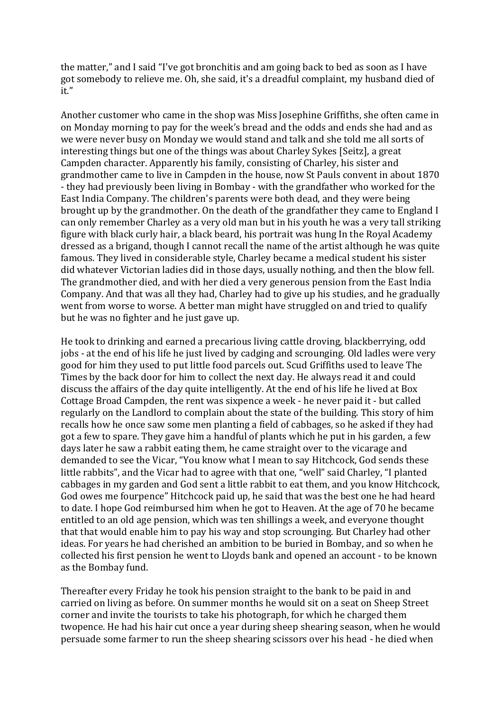the matter," and I said "I've got bronchitis and am going back to bed as soon as I have got somebody to relieve me. Oh, she said, it's a dreadful complaint, my husband died of it."

Another customer who came in the shop was Miss Josephine Griffiths, she often came in on Monday morning to pay for the week's bread and the odds and ends she had and as we were never busy on Monday we would stand and talk and she told me all sorts of interesting things but one of the things was about Charley Sykes [Seitz], a great Campden character. Apparently his family, consisting of Charley, his sister and grandmother came to live in Campden in the house, now St Pauls convent in about 1870 - they had previously been living in Bombay - with the grandfather who worked for the East India Company. The children's parents were both dead, and they were being brought up by the grandmother. On the death of the grandfather they came to England I can only remember Charley as a very old man but in his youth he was a very tall striking figure with black curly hair, a black beard, his portrait was hung In the Royal Academy dressed as a brigand, though I cannot recall the name of the artist although he was quite famous. They lived in considerable style, Charley became a medical student his sister did whatever Victorian ladies did in those days, usually nothing, and then the blow fell. The grandmother died, and with her died a very generous pension from the East India Company. And that was all they had, Charley had to give up his studies, and he gradually went from worse to worse. A better man might have struggled on and tried to qualify but he was no fighter and he just gave up.

He took to drinking and earned a precarious living cattle droving, blackberrying, odd jobs - at the end of his life he just lived by cadging and scrounging. Old ladles were very good for him they used to put little food parcels out. Scud Griffiths used to leave The Times by the back door for him to collect the next day. He always read it and could discuss the affairs of the day quite intelligently. At the end of his life he lived at Box Cottage Broad Campden, the rent was sixpence a week - he never paid it - but called regularly on the Landlord to complain about the state of the building. This story of him recalls how he once saw some men planting a field of cabbages, so he asked if they had got a few to spare. They gave him a handful of plants which he put in his garden, a few days later he saw a rabbit eating them, he came straight over to the vicarage and demanded to see the Vicar, "You know what I mean to say Hitchcock, God sends these little rabbits", and the Vicar had to agree with that one, "well" said Charley, "I planted cabbages in my garden and God sent a little rabbit to eat them, and you know Hitchcock, God owes me fourpence" Hitchcock paid up, he said that was the best one he had heard to date. I hope God reimbursed him when he got to Heaven. At the age of 70 he became entitled to an old age pension, which was ten shillings a week, and everyone thought that that would enable him to pay his way and stop scrounging. But Charley had other ideas. For years he had cherished an ambition to be buried in Bombay, and so when he collected his first pension he went to Lloyds bank and opened an account - to be known as the Bombay fund.

Thereafter every Friday he took his pension straight to the bank to be paid in and carried on living as before. On summer months he would sit on a seat on Sheep Street corner and invite the tourists to take his photograph, for which he charged them twopence. He had his hair cut once a year during sheep shearing season, when he would persuade some farmer to run the sheep shearing scissors over his head - he died when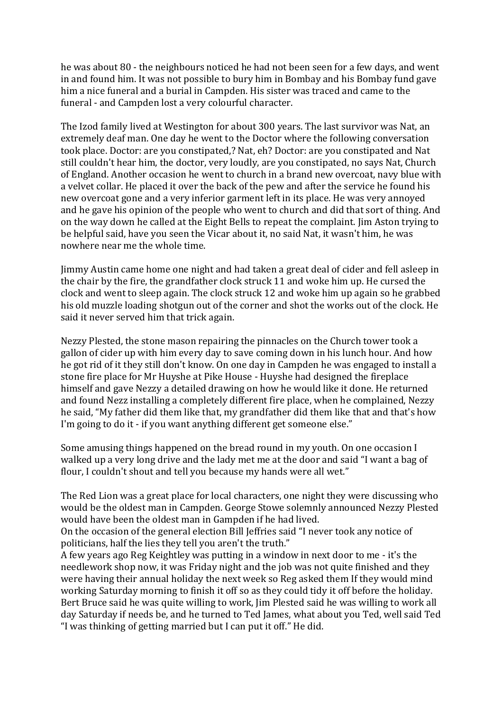he was about 80 - the neighbours noticed he had not been seen for a few days, and went in and found him. It was not possible to bury him in Bombay and his Bombay fund gave him a nice funeral and a burial in Campden. His sister was traced and came to the funeral - and Campden lost a very colourful character.

The Izod family lived at Westington for about 300 years. The last survivor was Nat, an extremely deaf man. One day he went to the Doctor where the following conversation took place. Doctor: are you constipated,? Nat, eh? Doctor: are you constipated and Nat still couldn't hear him, the doctor, very loudly, are you constipated, no says Nat, Church of England. Another occasion he went to church in a brand new overcoat, navy blue with a velvet collar. He placed it over the back of the pew and after the service he found his new overcoat gone and a very inferior garment left in its place. He was very annoyed and he gave his opinion of the people who went to church and did that sort of thing. And on the way down he called at the Eight Bells to repeat the complaint. Jim Aston trying to be helpful said, have you seen the Vicar about it, no said Nat, it wasn't him, he was nowhere near me the whole time.

Jimmy Austin came home one night and had taken a great deal of cider and fell asleep in the chair by the fire, the grandfather clock struck 11 and woke him up. He cursed the clock and went to sleep again. The clock struck 12 and woke him up again so he grabbed his old muzzle loading shotgun out of the corner and shot the works out of the clock. He said it never served him that trick again.

Nezzy Plested, the stone mason repairing the pinnacles on the Church tower took a gallon of cider up with him every day to save coming down in his lunch hour. And how he got rid of it they still don't know. On one day in Campden he was engaged to install a stone fire place for Mr Huyshe at Pike House - Huyshe had designed the fireplace himself and gave Nezzy a detailed drawing on how he would like it done. He returned and found Nezz installing a completely different fire place, when he complained, Nezzy he said, "My father did them like that, my grandfather did them like that and that's how I'm going to do it - if you want anything different get someone else."

Some amusing things happened on the bread round in my youth. On one occasion I walked up a very long drive and the lady met me at the door and said "I want a bag of flour, I couldn't shout and tell you because my hands were all wet."

The Red Lion was a great place for local characters, one night they were discussing who would be the oldest man in Campden. George Stowe solemnly announced Nezzy Plested would have been the oldest man in Gampden if he had lived.

On the occasion of the general election Bill Jeffries said "I never took any notice of politicians, half the lies they tell you aren't the truth."

A few years ago Reg Keightley was putting in a window in next door to me - it's the needlework shop now, it was Friday night and the job was not quite finished and they were having their annual holiday the next week so Reg asked them If they would mind working Saturday morning to finish it off so as they could tidy it off before the holiday. Bert Bruce said he was quite willing to work, Jim Plested said he was willing to work all day Saturday if needs be, and he turned to Ted James, what about you Ted, well said Ted "I was thinking of getting married but I can put it off." He did.